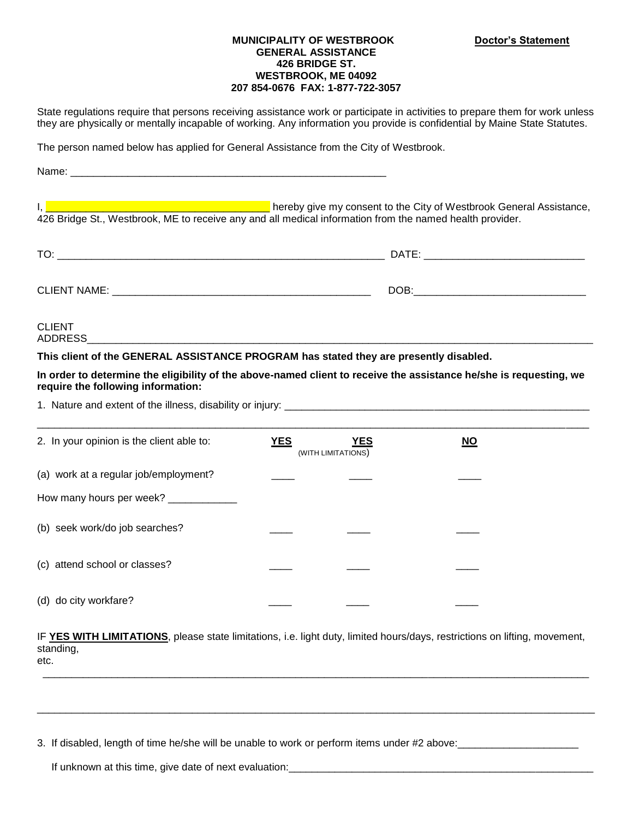## **MUNICIPALITY OF WESTBROOK Doctor's Statement GENERAL ASSISTANCE 426 BRIDGE ST. WESTBROOK, ME 04092 207 854-0676 FAX: 1-877-722-3057**

State regulations require that persons receiving assistance work or participate in activities to prepare them for work unless they are physically or mentally incapable of working. Any information you provide is confidential by Maine State Statutes.

The person named below has applied for General Assistance from the City of Westbrook.

Name:

I, **Example 20 and 20 and 20 and 20 and 20 and 20 and 20 and 20 and 20 and 20 and 20 and 20 and 20 and 20 and 20 and 20 and 20 and 20 and 20 and 20 and 20 and 20 and 20 and 20 and 20 and 20 and 20 and 20 and 20 and 20 and** 426 Bridge St., Westbrook, ME to receive any and all medical information from the named health provider.

| T <sub>O</sub><br>. U. | DATE: |
|------------------------|-------|
|                        |       |
| <b>CLIENT NAME:</b>    | DOB:  |
|                        |       |

CLIENT ADDRESS\_\_\_\_\_\_\_\_\_\_\_\_\_\_\_\_\_\_\_\_\_\_\_\_\_\_\_\_\_\_\_\_\_\_\_\_\_\_\_\_\_\_\_\_\_\_\_\_\_\_\_\_\_\_\_\_\_\_\_\_\_\_\_\_\_\_\_\_\_\_\_\_\_\_\_\_\_\_\_\_\_\_\_\_\_\_\_\_

**This client of the GENERAL ASSISTANCE PROGRAM has stated they are presently disabled.** 

**In order to determine the eligibility of the above-named client to receive the assistance he/she is requesting, we require the following information:**

1. Nature and extent of the illness, disability or injury: \_\_\_\_\_\_\_\_\_\_\_\_\_\_\_\_\_\_\_\_\_\_\_\_\_\_\_\_\_\_\_\_\_\_\_\_\_\_\_\_\_\_\_\_\_\_\_\_\_\_\_\_\_

| 2. In your opinion is the client able to: | <b>YES</b> | <b>YES</b><br>(WITH LIMITATIONS) | $\underline{\mathsf{NO}}$ |  |
|-------------------------------------------|------------|----------------------------------|---------------------------|--|
| (a) work at a regular job/employment?     |            |                                  |                           |  |
| How many hours per week? ____________     |            |                                  |                           |  |
| (b) seek work/do job searches?            |            |                                  |                           |  |
| (c) attend school or classes?             |            |                                  |                           |  |
| (d) do city workfare?                     |            |                                  |                           |  |

IF **YES WITH LIMITATIONS**, please state limitations, i.e. light duty, limited hours/days, restrictions on lifting, movement, standing, etc.

\_\_\_\_\_\_\_\_\_\_\_\_\_\_\_\_\_\_\_\_\_\_\_\_\_\_\_\_\_\_\_\_\_\_\_\_\_\_\_\_\_\_\_\_\_\_\_\_\_\_\_\_\_\_\_\_\_\_\_\_\_\_\_\_\_\_\_\_\_\_\_\_\_\_\_\_\_\_\_\_\_\_\_\_\_\_\_\_\_\_\_\_\_\_\_

\_\_\_\_\_\_\_\_\_\_\_\_\_\_\_\_\_\_\_\_\_\_\_\_\_\_\_\_\_\_\_\_\_\_\_\_\_\_\_\_\_\_\_\_\_\_\_\_\_\_\_\_\_\_\_\_\_\_\_\_\_\_\_\_\_\_\_\_\_\_\_\_\_\_\_\_\_\_\_\_\_\_\_\_\_\_\_\_\_\_\_\_\_\_\_\_\_

3. If disabled, length of time he/she will be unable to work or perform items under #2 above:<br>

If unknown at this time, give date of next evaluation: \_\_\_\_\_\_\_\_\_\_\_\_\_\_\_\_\_\_\_\_\_\_\_\_\_